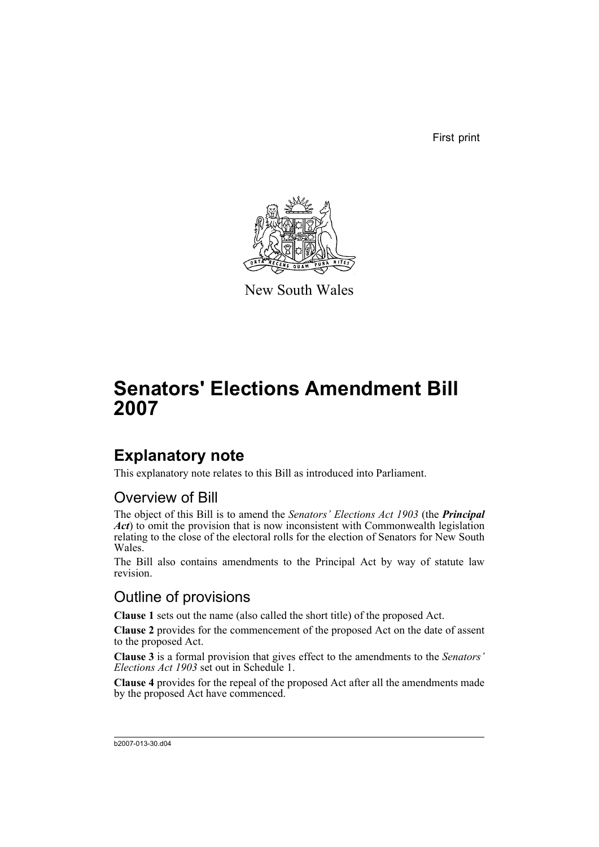First print



New South Wales

# **Senators' Elections Amendment Bill 2007**

## **Explanatory note**

This explanatory note relates to this Bill as introduced into Parliament.

### Overview of Bill

The object of this Bill is to amend the *Senators' Elections Act 1903* (the *Principal Act*) to omit the provision that is now inconsistent with Commonwealth legislation relating to the close of the electoral rolls for the election of Senators for New South Wales.

The Bill also contains amendments to the Principal Act by way of statute law revision.

### Outline of provisions

**Clause 1** sets out the name (also called the short title) of the proposed Act.

**Clause 2** provides for the commencement of the proposed Act on the date of assent to the proposed Act.

**Clause 3** is a formal provision that gives effect to the amendments to the *Senators' Elections Act 1903* set out in Schedule 1.

**Clause 4** provides for the repeal of the proposed Act after all the amendments made by the proposed Act have commenced.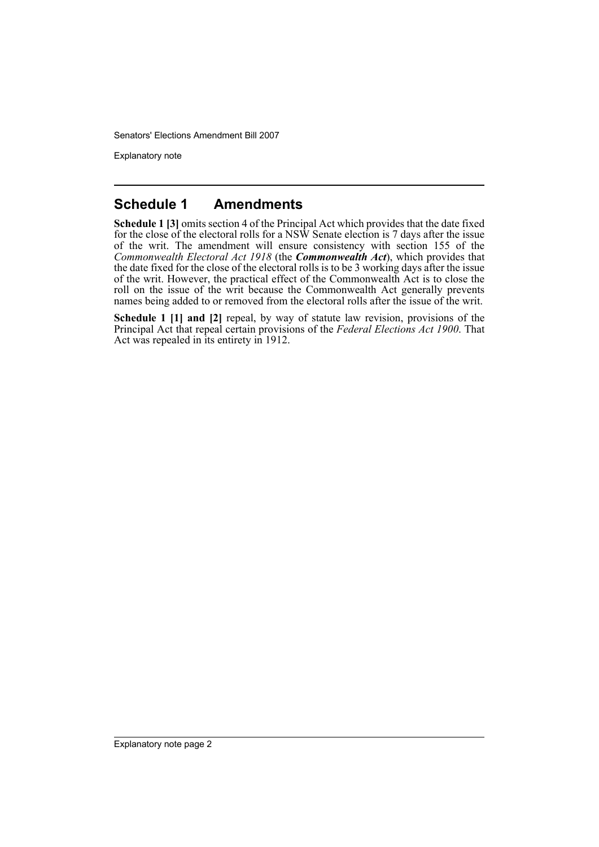Senators' Elections Amendment Bill 2007

Explanatory note

#### **Schedule 1 Amendments**

**Schedule 1 [3]** omits section 4 of the Principal Act which provides that the date fixed for the close of the electoral rolls for a NSW Senate election is 7 days after the issue of the writ. The amendment will ensure consistency with section 155 of the *Commonwealth Electoral Act 1918* (the *Commonwealth Act*), which provides that the date fixed for the close of the electoral rolls is to be 3 working days after the issue of the writ. However, the practical effect of the Commonwealth Act is to close the roll on the issue of the writ because the Commonwealth Act generally prevents names being added to or removed from the electoral rolls after the issue of the writ.

**Schedule 1 [1] and [2]** repeal, by way of statute law revision, provisions of the Principal Act that repeal certain provisions of the *Federal Elections Act 1900*. That Act was repealed in its entirety in 1912.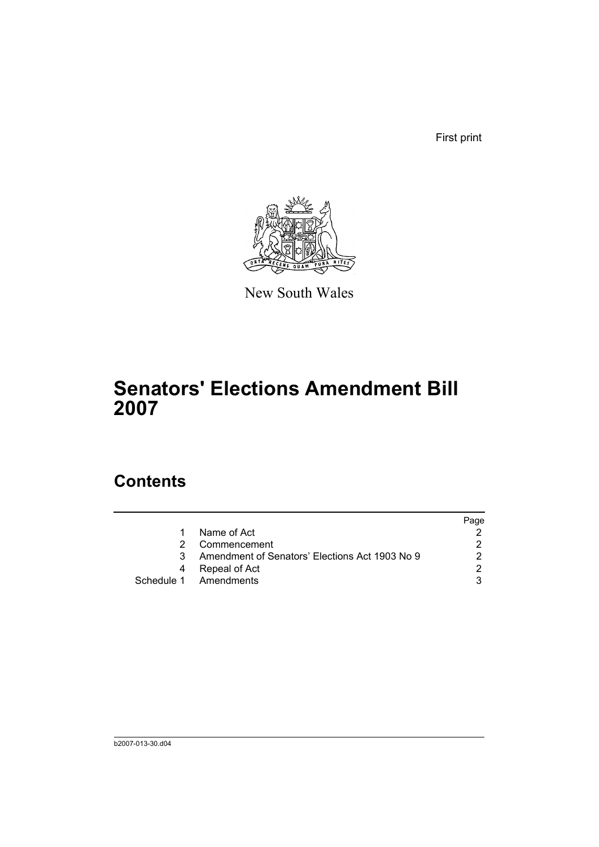First print



New South Wales

# **Senators' Elections Amendment Bill 2007**

### **Contents**

|                                                | Page                  |
|------------------------------------------------|-----------------------|
| Name of Act                                    |                       |
| Commencement                                   |                       |
| Amendment of Senators' Elections Act 1903 No 9 |                       |
| Repeal of Act                                  | ົ                     |
|                                                |                       |
|                                                | Schedule 1 Amendments |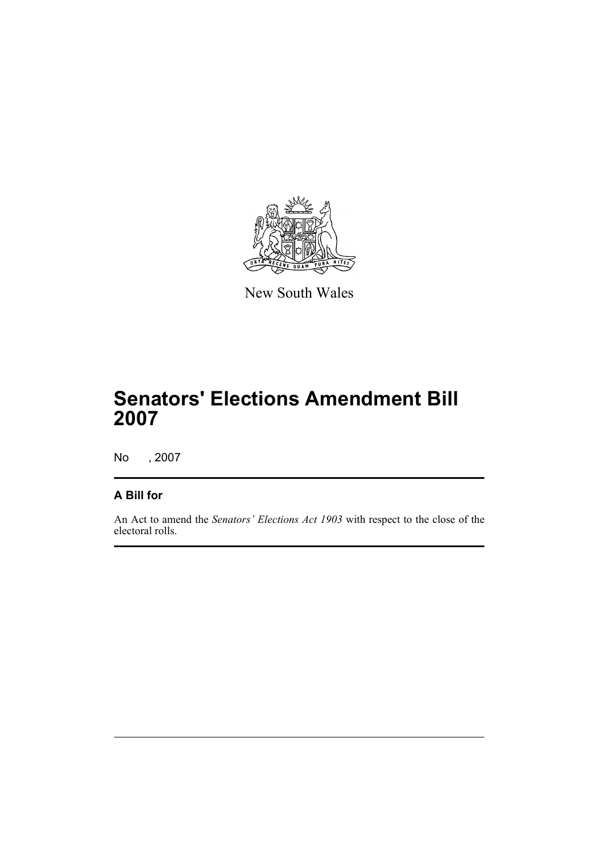

New South Wales

## **Senators' Elections Amendment Bill 2007**

No , 2007

#### **A Bill for**

An Act to amend the *Senators' Elections Act 1903* with respect to the close of the electoral rolls.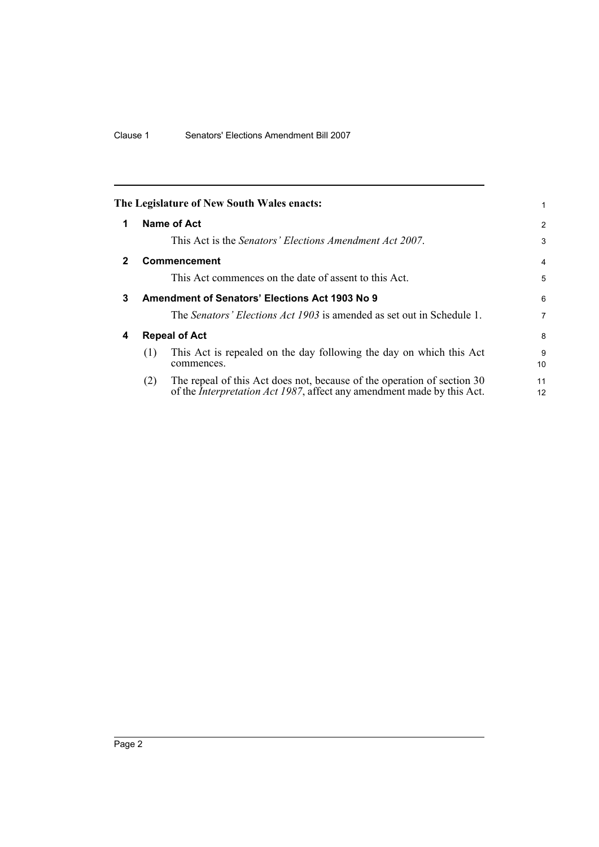<span id="page-5-3"></span><span id="page-5-2"></span><span id="page-5-1"></span><span id="page-5-0"></span>

|   |                      | The Legislature of New South Wales enacts:                                                                                                                |                |
|---|----------------------|-----------------------------------------------------------------------------------------------------------------------------------------------------------|----------------|
| 1 | Name of Act          |                                                                                                                                                           | $\overline{2}$ |
|   |                      | This Act is the Senators' Elections Amendment Act 2007.                                                                                                   | 3              |
| 2 | <b>Commencement</b>  |                                                                                                                                                           | 4              |
|   |                      | This Act commences on the date of assent to this Act.                                                                                                     | 5              |
| 3 |                      | Amendment of Senators' Elections Act 1903 No 9                                                                                                            | 6              |
|   |                      | The Senators' Elections Act 1903 is amended as set out in Schedule 1.                                                                                     | 7              |
| 4 | <b>Repeal of Act</b> |                                                                                                                                                           | 8              |
|   | (1)                  | This Act is repealed on the day following the day on which this Act<br>commences.                                                                         | 9<br>10        |
|   | (2)                  | The repeal of this Act does not, because of the operation of section 30<br>of the <i>Interpretation Act 1987</i> , affect any amendment made by this Act. | 11<br>12       |
|   |                      |                                                                                                                                                           |                |